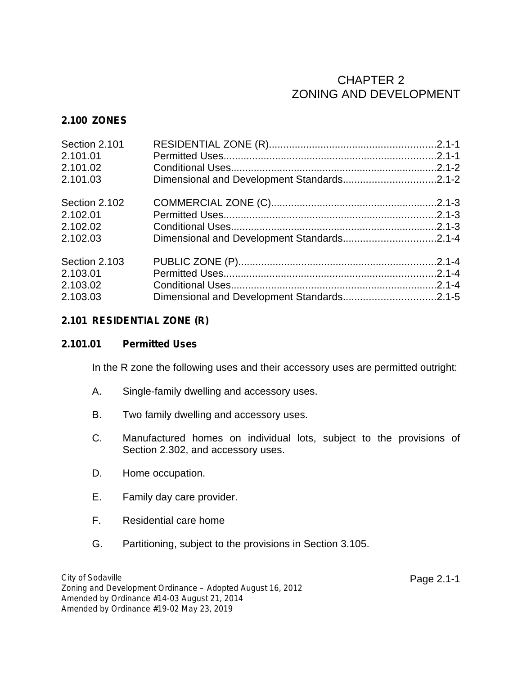## CHAPTER 2 ZONING AND DEVELOPMENT

## **2.100 ZONES**

| Section 2.101 |  |
|---------------|--|
| 2.101.01      |  |
| 2.101.02      |  |
| 2.101.03      |  |
| Section 2.102 |  |
| 2.102.01      |  |
| 2.102.02      |  |
| 2.102.03      |  |
| Section 2.103 |  |
| 2.103.01      |  |
| 2.103.02      |  |
| 2.103.03      |  |

## **2.101 RESIDENTIAL ZONE (R)**

#### **2.101.01 Permitted Uses**

In the R zone the following uses and their accessory uses are permitted outright:

- A. Single-family dwelling and accessory uses.
- B. Two family dwelling and accessory uses.
- C. Manufactured homes on individual lots, subject to the provisions of Section 2.302, and accessory uses.
- D. Home occupation.
- E. Family day care provider.
- F. Residential care home
- G. Partitioning, subject to the provisions in Section 3.105.

*City of Sodaville Zoning and Development Ordinance – Adopted August 16, 2012 Amended by Ordinance #14-03 August 21, 2014 Amended by Ordinance #19-02 May 23, 2019*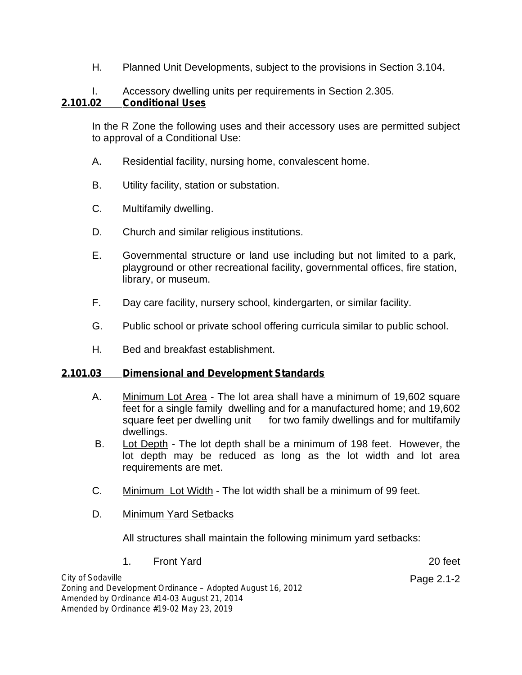H. Planned Unit Developments, subject to the provisions in Section 3.104.

# I. Accessory dwelling units per requirements in Section 2.305.

## **2.101.02 Conditional Uses**

In the R Zone the following uses and their accessory uses are permitted subject to approval of a Conditional Use:

- A. Residential facility, nursing home, convalescent home.
- B. Utility facility, station or substation.
- C. Multifamily dwelling.
- D. Church and similar religious institutions.
- E. Governmental structure or land use including but not limited to a park, playground or other recreational facility, governmental offices, fire station, library, or museum.
- F. Day care facility, nursery school, kindergarten, or similar facility.
- G. Public school or private school offering curricula similar to public school.
- H. Bed and breakfast establishment.

## **2.101.03 Dimensional and Development Standards**

- A. Minimum Lot Area The lot area shall have a minimum of 19,602 square feet for a single family dwelling and for a manufactured home; and 19,602 square feet per dwelling unit for two family dwellings and for multifamily dwellings.
- B. Lot Depth The lot depth shall be a minimum of 198 feet. However, the lot depth may be reduced as long as the lot width and lot area requirements are met.
- C. Minimum Lot Width The lot width shall be a minimum of 99 feet.
- D. Minimum Yard Setbacks

All structures shall maintain the following minimum yard setbacks:

1. Front Yard 20 feet

Page 2.1-2

*City of Sodaville Zoning and Development Ordinance – Adopted August 16, 2012 Amended by Ordinance #14-03 August 21, 2014 Amended by Ordinance #19-02 May 23, 2019*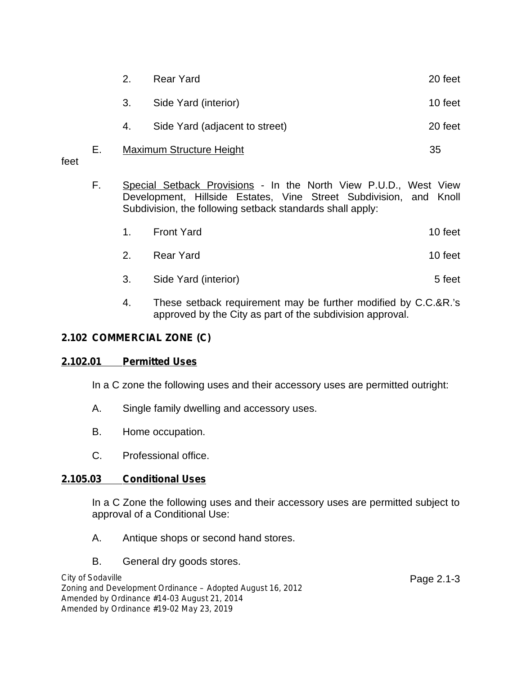|    | 2.                              | <b>Rear Yard</b>               | 20 feet |
|----|---------------------------------|--------------------------------|---------|
|    | 3.                              | Side Yard (interior)           | 10 feet |
|    | 4.                              | Side Yard (adjacent to street) | 20 feet |
| Е. | <b>Maximum Structure Height</b> |                                | 35      |

feet

- F. Special Setback Provisions In the North View P.U.D., West View Development, Hillside Estates, Vine Street Subdivision, and Knoll Subdivision, the following setback standards shall apply:
	- 1. Front Yard 10 feet
	- 2. Rear Yard **10** feet
	- 3. Side Yard (interior) 5 feet
	- 4. These setback requirement may be further modified by C.C.&R.'s approved by the City as part of the subdivision approval.

## **2.102 COMMERCIAL ZONE (C)**

#### **2.102.01 Permitted Uses**

In a C zone the following uses and their accessory uses are permitted outright:

- A. Single family dwelling and accessory uses.
- B. Home occupation.
- C. Professional office.

## **2.105.03 Conditional Uses**

In a C Zone the following uses and their accessory uses are permitted subject to approval of a Conditional Use:

- A. Antique shops or second hand stores.
- B. General dry goods stores.

*City of Sodaville Zoning and Development Ordinance – Adopted August 16, 2012 Amended by Ordinance #14-03 August 21, 2014 Amended by Ordinance #19-02 May 23, 2019*

Page 2.1-3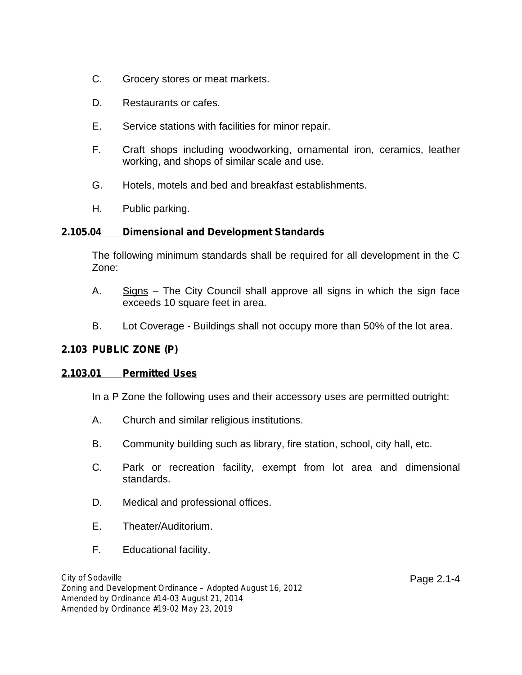- C. Grocery stores or meat markets.
- D. Restaurants or cafes.
- E. Service stations with facilities for minor repair.
- F. Craft shops including woodworking, ornamental iron, ceramics, leather working, and shops of similar scale and use.
- G. Hotels, motels and bed and breakfast establishments.
- H. Public parking.

## **2.105.04 Dimensional and Development Standards**

The following minimum standards shall be required for all development in the C Zone:

- A. Signs The City Council shall approve all signs in which the sign face exceeds 10 square feet in area.
- B. Lot Coverage Buildings shall not occupy more than 50% of the lot area.

## **2.103 PUBLIC ZONE (P)**

## **2.103.01 Permitted Uses**

In a P Zone the following uses and their accessory uses are permitted outright:

- A. Church and similar religious institutions.
- B. Community building such as library, fire station, school, city hall, etc.
- C. Park or recreation facility, exempt from lot area and dimensional standards.
- D. Medical and professional offices.
- E. Theater/Auditorium.
- F. Educational facility.